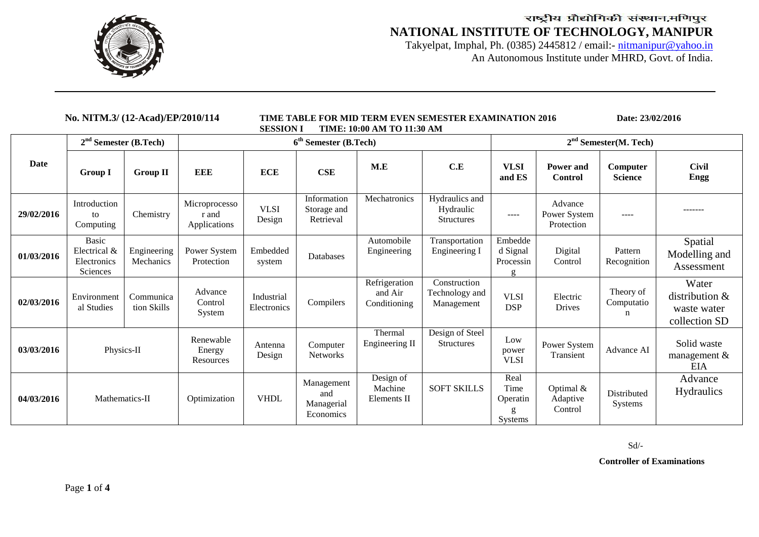

Takyelpat, Imphal, Ph. (0385) 2445812 / email:- nitmanipur@yahoo.in An Autonomous Institute under MHRD, Govt. of India.

| No. NITM.3/ (12-Acad)/EP/2010/114 |                                                                |                          | TIME TABLE FOR MID TERM EVEN SEMESTER EXAMINATION 2016<br>TIME: 10:00 AM TO 11:30 AM<br><b>SESSION I</b> |                           |                                              |                                          |                                                  |                                                  | Date: 23/02/2016                      |                              |                                                         |
|-----------------------------------|----------------------------------------------------------------|--------------------------|----------------------------------------------------------------------------------------------------------|---------------------------|----------------------------------------------|------------------------------------------|--------------------------------------------------|--------------------------------------------------|---------------------------------------|------------------------------|---------------------------------------------------------|
|                                   | $2nd$ Semester (B.Tech)                                        |                          | $6th$ Semester (B.Tech)                                                                                  |                           |                                              |                                          |                                                  | $2nd$ Semester(M. Tech)                          |                                       |                              |                                                         |
| Date                              | <b>Group I</b>                                                 | <b>Group II</b>          | <b>EEE</b>                                                                                               | <b>ECE</b>                | CSE                                          | M.E                                      | C.E                                              | <b>VLSI</b><br>and ES                            | Power and<br><b>Control</b>           | Computer<br><b>Science</b>   | <b>Civil</b><br><b>Engg</b>                             |
| 29/02/2016                        | Introduction<br>to<br>Computing                                | Chemistry                | Microprocesso<br>r and<br>Applications                                                                   | <b>VLSI</b><br>Design     | Information<br>Storage and<br>Retrieval      | Mechatronics                             | Hydraulics and<br>Hydraulic<br><b>Structures</b> | $---$                                            | Advance<br>Power System<br>Protection | $---$                        | -------                                                 |
| 01/03/2016                        | <b>Basic</b><br>Electrical &<br>Electronics<br><b>Sciences</b> | Engineering<br>Mechanics | Power System<br>Protection                                                                               | Embedded<br>system        | Databases                                    | Automobile<br>Engineering                | Transportation<br>Engineering I                  | Embedde<br>d Signal<br>Processin<br>$\mathbf{Q}$ | Digital<br>Control                    | Pattern<br>Recognition       | Spatial<br>Modelling and<br>Assessment                  |
| 02/03/2016                        | Environment<br>al Studies                                      | Communica<br>tion Skills | Advance<br>Control<br>System                                                                             | Industrial<br>Electronics | Compilers                                    | Refrigeration<br>and Air<br>Conditioning | Construction<br>Technology and<br>Management     | <b>VLSI</b><br><b>DSP</b>                        | Electric<br>Drives                    | Theory of<br>Computatio<br>n | Water<br>distribution &<br>waste water<br>collection SD |
| 03/03/2016                        | Physics-II                                                     |                          | Renewable<br>Energy<br>Resources                                                                         | Antenna<br>Design         | Computer<br>Networks                         | Thermal<br>Engineering II                | Design of Steel<br><b>Structures</b>             | Low<br>power<br><b>VLSI</b>                      | Power System<br>Transient             | Advance AI                   | Solid waste<br>management $\&$<br><b>EIA</b>            |
| 04/03/2016                        | Mathematics-II                                                 |                          | Optimization                                                                                             | <b>VHDL</b>               | Management<br>and<br>Managerial<br>Economics | Design of<br>Machine<br>Elements II      | <b>SOFT SKILLS</b>                               | Real<br>Time<br>Operatin<br>g<br>Systems         | Optimal &<br>Adaptive<br>Control      | Distributed<br>Systems       | Advance<br><b>Hydraulics</b>                            |

Sd/-

**Controller of Examinations**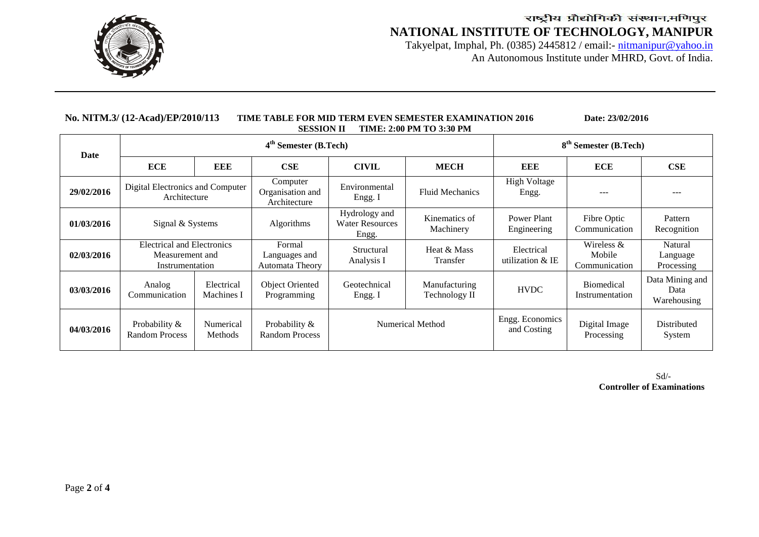

Takyelpat, Imphal, Ph. (0385) 2445812 / email:- nitmanipur@yahoo.in An Autonomous Institute under MHRD, Govt. of India.

| <b>TIME: 2:00 PM TO 3:30 PM</b><br><b>SESSION II</b> |                                                                         |                                                                                           |                                              |                                                  |                                |                                  |                                         |                                        |  |
|------------------------------------------------------|-------------------------------------------------------------------------|-------------------------------------------------------------------------------------------|----------------------------------------------|--------------------------------------------------|--------------------------------|----------------------------------|-----------------------------------------|----------------------------------------|--|
| Date                                                 |                                                                         |                                                                                           | $4th$ Semester (B.Tech)                      | 8 <sup>th</sup> Semester (B.Tech)                |                                |                                  |                                         |                                        |  |
|                                                      | <b>ECE</b>                                                              | EEE                                                                                       | CSE                                          | <b>CIVIL</b>                                     | <b>MECH</b>                    | <b>EEE</b>                       | <b>ECE</b>                              | CSE                                    |  |
| 29/02/2016                                           | Digital Electronics and Computer<br>Architecture                        |                                                                                           | Computer<br>Organisation and<br>Architecture | Environmental<br>Engg. I                         | <b>Fluid Mechanics</b>         | <b>High Voltage</b><br>Engg.     | ---                                     | ---                                    |  |
| 01/03/2016                                           | Signal & Systems                                                        |                                                                                           | Algorithms                                   | Hydrology and<br><b>Water Resources</b><br>Engg. | Kinematics of<br>Machinery     | Power Plant<br>Engineering       | Fibre Optic<br>Communication            | Pattern<br>Recognition                 |  |
| 02/03/2016                                           | <b>Electrical and Electronics</b><br>Measurement and<br>Instrumentation |                                                                                           | Formal<br>Languages and<br>Automata Theory   | Structural<br>Analysis I                         | Heat & Mass<br>Transfer        | Electrical<br>utilization $&$ IE | Wireless $&$<br>Mobile<br>Communication | Natural<br>Language<br>Processing      |  |
| 03/03/2016                                           | Analog<br>Communication                                                 | Electrical<br>Machines I                                                                  | Object Oriented<br>Programming               | Geotechnical<br>Engg. I                          | Manufacturing<br>Technology II | <b>HVDC</b>                      | <b>Biomedical</b><br>Instrumentation    | Data Mining and<br>Data<br>Warehousing |  |
| 04/03/2016                                           | Probability &<br><b>Random Process</b>                                  | Probability &<br><b>Numerical Method</b><br>Numerical<br><b>Random Process</b><br>Methods |                                              | Engg. Economics<br>and Costing                   | Digital Image<br>Processing    | Distributed<br>System            |                                         |                                        |  |

**No. NITM.3/ (12-Acad)/EP/2010/113 TIME TABLE FOR MID TERM EVEN SEMESTER EXAMINATION 2016 Date: 23/02/2016**

 Sd/- **Controller of Examinations**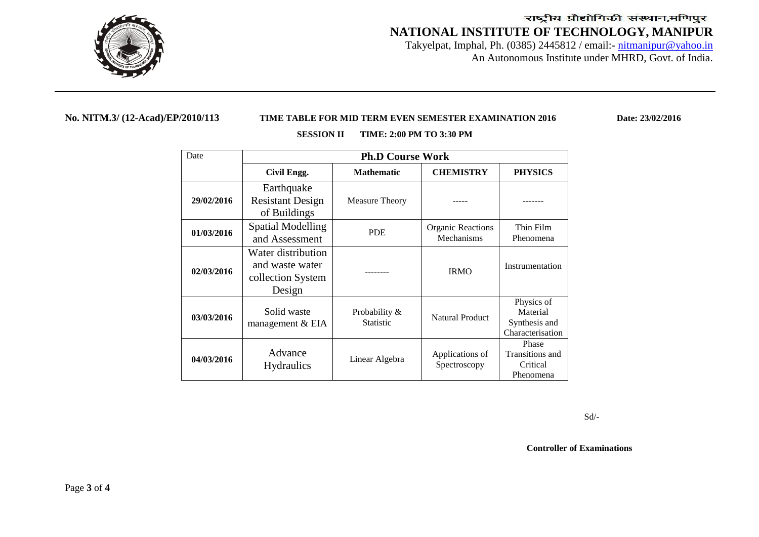

Takyelpat, Imphal, Ph. (0385) 2445812 / email:- nitmanipur@yahoo.in An Autonomous Institute under MHRD, Govt. of India.

### **No. NITM.3/ (12-Acad)/EP/2010/113 TIME TABLE FOR MID TERM EVEN SEMESTER EXAMINATION 2016 Date: 23/02/2016**

| Date       | <b>Ph.D Course Work</b> |                   |                        |                                 |  |  |
|------------|-------------------------|-------------------|------------------------|---------------------------------|--|--|
|            | Civil Engg.             | <b>Mathematic</b> | <b>CHEMISTRY</b>       | <b>PHYSICS</b>                  |  |  |
|            | Earthquake              |                   |                        |                                 |  |  |
| 29/02/2016 | <b>Resistant Design</b> | Measure Theory    |                        |                                 |  |  |
|            | of Buildings            |                   |                        |                                 |  |  |
| 01/03/2016 | Spatial Modelling       | <b>PDE</b>        |                        | Thin Film                       |  |  |
|            | and Assessment          |                   | Mechanisms             | Phenomena                       |  |  |
|            | Water distribution      |                   |                        |                                 |  |  |
| 02/03/2016 | and waste water         |                   | <b>IRMO</b>            | Instrumentation                 |  |  |
|            | collection System       |                   |                        |                                 |  |  |
|            | Design                  |                   |                        |                                 |  |  |
|            |                         |                   |                        | Physics of                      |  |  |
| 03/03/2016 | Solid waste             | Probability &     | <b>Natural Product</b> | Material                        |  |  |
|            | management & EIA        | <b>Statistic</b>  |                        | Synthesis and                   |  |  |
|            |                         |                   |                        | Characterisation                |  |  |
|            | Advance                 |                   |                        | Phase<br><b>Transitions</b> and |  |  |
| 04/03/2016 |                         | Linear Algebra    | Applications of        | Critical                        |  |  |
|            | <b>Hydraulics</b>       |                   | Spectroscopy           | Phenomena                       |  |  |
|            |                         |                   |                        |                                 |  |  |

#### **SESSION II TIME: 2:00 PM TO 3:30 PM**

Sd/-

**Controller of Examinations**